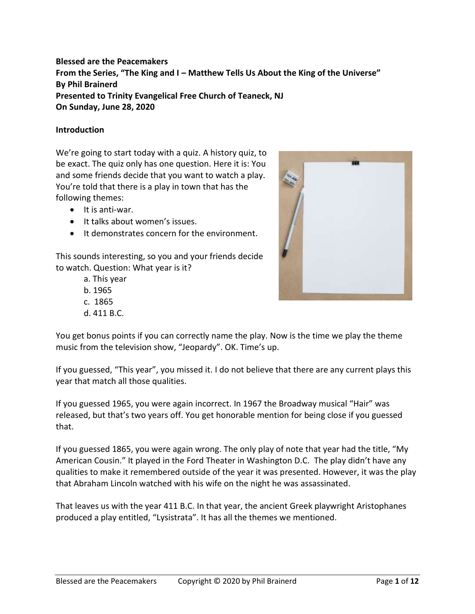## **Blessed are the Peacemakers From the Series, "The King and I – Matthew Tells Us About the King of the Universe" By Phil Brainerd Presented to Trinity Evangelical Free Church of Teaneck, NJ On Sunday, June 28, 2020**

### **Introduction**

We're going to start today with a quiz. A history quiz, to be exact. The quiz only has one question. Here it is: You and some friends decide that you want to watch a play. You're told that there is a play in town that has the following themes:

- It is anti-war.
- It talks about women's issues.
- It demonstrates concern for the environment.

This sounds interesting, so you and your friends decide to watch. Question: What year is it?

- a. This year
- b. 1965
- c. 1865
- d. 411 B.C.



You get bonus points if you can correctly name the play. Now is the time we play the theme music from the television show, "Jeopardy". OK. Time's up.

If you guessed, "This year", you missed it. I do not believe that there are any current plays this year that match all those qualities.

If you guessed 1965, you were again incorrect. In 1967 the Broadway musical "Hair" was released, but that's two years off. You get honorable mention for being close if you guessed that.

If you guessed 1865, you were again wrong. The only play of note that year had the title, "My American Cousin." It played in the Ford Theater in Washington D.C. The play didn't have any qualities to make it remembered outside of the year it was presented. However, it was the play that Abraham Lincoln watched with his wife on the night he was assassinated.

That leaves us with the year 411 B.C. In that year, the ancient Greek playwright Aristophanes produced a play entitled, "Lysistrata". It has all the themes we mentioned.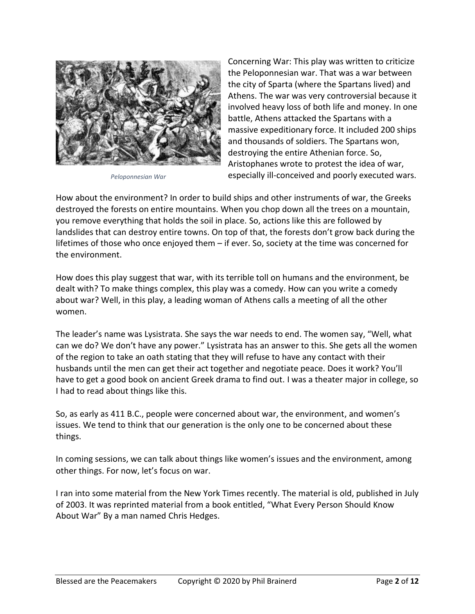

*Peloponnesian War*

Concerning War: This play was written to criticize the Peloponnesian war. That was a war between the city of Sparta (where the Spartans lived) and Athens. The war was very controversial because it involved heavy loss of both life and money. In one battle, Athens attacked the Spartans with a massive expeditionary force. It included 200 ships and thousands of soldiers. The Spartans won, destroying the entire Athenian force. So, Aristophanes wrote to protest the idea of war, especially ill-conceived and poorly executed wars.

How about the environment? In order to build ships and other instruments of war, the Greeks destroyed the forests on entire mountains. When you chop down all the trees on a mountain, you remove everything that holds the soil in place. So, actions like this are followed by landslides that can destroy entire towns. On top of that, the forests don't grow back during the lifetimes of those who once enjoyed them – if ever. So, society at the time was concerned for the environment.

How does this play suggest that war, with its terrible toll on humans and the environment, be dealt with? To make things complex, this play was a comedy. How can you write a comedy about war? Well, in this play, a leading woman of Athens calls a meeting of all the other women.

The leader's name was Lysistrata. She says the war needs to end. The women say, "Well, what can we do? We don't have any power." Lysistrata has an answer to this. She gets all the women of the region to take an oath stating that they will refuse to have any contact with their husbands until the men can get their act together and negotiate peace. Does it work? You'll have to get a good book on ancient Greek drama to find out. I was a theater major in college, so I had to read about things like this.

So, as early as 411 B.C., people were concerned about war, the environment, and women's issues. We tend to think that our generation is the only one to be concerned about these things.

In coming sessions, we can talk about things like women's issues and the environment, among other things. For now, let's focus on war.

I ran into some material from the New York Times recently. The material is old, published in July of 2003. It was reprinted material from a book entitled, "What Every Person Should Know About War" By a man named Chris Hedges.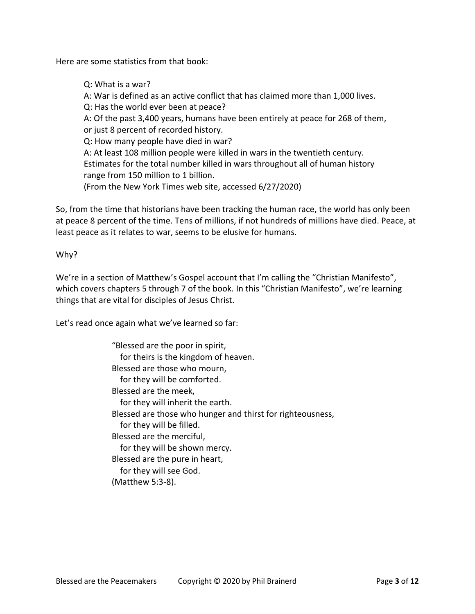Here are some statistics from that book:

Q: What is a war? A: War is defined as an active conflict that has claimed more than 1,000 lives. Q: Has the world ever been at peace? A: Of the past 3,400 years, humans have been entirely at peace for 268 of them, or just 8 percent of recorded history. Q: How many people have died in war? A: At least 108 million people were killed in wars in the twentieth century. Estimates for the total number killed in wars throughout all of human history range from 150 million to 1 billion. (From the New York Times web site, accessed 6/27/2020)

So, from the time that historians have been tracking the human race, the world has only been at peace 8 percent of the time. Tens of millions, if not hundreds of millions have died. Peace, at least peace as it relates to war, seems to be elusive for humans.

Why?

We're in a section of Matthew's Gospel account that I'm calling the "Christian Manifesto", which covers chapters 5 through 7 of the book. In this "Christian Manifesto", we're learning things that are vital for disciples of Jesus Christ.

Let's read once again what we've learned so far:

"Blessed are the poor in spirit, for theirs is the kingdom of heaven. Blessed are those who mourn, for they will be comforted. Blessed are the meek, for they will inherit the earth. Blessed are those who hunger and thirst for righteousness, for they will be filled. Blessed are the merciful, for they will be shown mercy. Blessed are the pure in heart, for they will see God. (Matthew 5:3-8).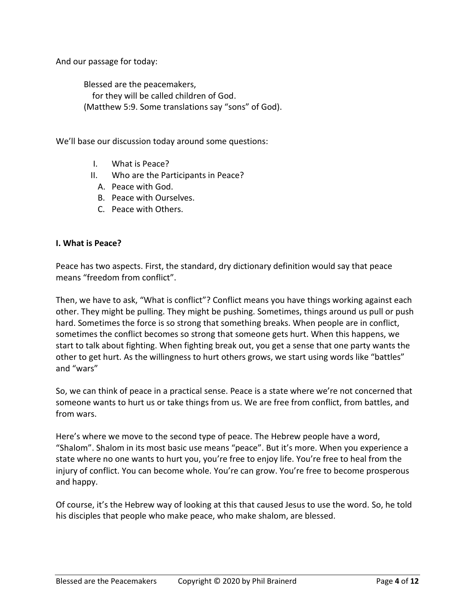And our passage for today:

Blessed are the peacemakers, for they will be called children of God. (Matthew 5:9. Some translations say "sons" of God).

We'll base our discussion today around some questions:

- I. What is Peace?
- II. Who are the Participants in Peace?
	- A. Peace with God.
	- B. Peace with Ourselves.
	- C. Peace with Others.

#### **I. What is Peace?**

Peace has two aspects. First, the standard, dry dictionary definition would say that peace means "freedom from conflict".

Then, we have to ask, "What is conflict"? Conflict means you have things working against each other. They might be pulling. They might be pushing. Sometimes, things around us pull or push hard. Sometimes the force is so strong that something breaks. When people are in conflict, sometimes the conflict becomes so strong that someone gets hurt. When this happens, we start to talk about fighting. When fighting break out, you get a sense that one party wants the other to get hurt. As the willingness to hurt others grows, we start using words like "battles" and "wars"

So, we can think of peace in a practical sense. Peace is a state where we're not concerned that someone wants to hurt us or take things from us. We are free from conflict, from battles, and from wars.

Here's where we move to the second type of peace. The Hebrew people have a word, "Shalom". Shalom in its most basic use means "peace". But it's more. When you experience a state where no one wants to hurt you, you're free to enjoy life. You're free to heal from the injury of conflict. You can become whole. You're can grow. You're free to become prosperous and happy.

Of course, it's the Hebrew way of looking at this that caused Jesus to use the word. So, he told his disciples that people who make peace, who make shalom, are blessed.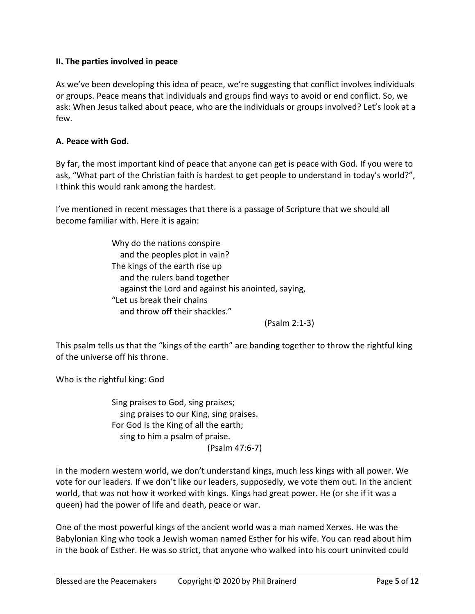### **II. The parties involved in peace**

As we've been developing this idea of peace, we're suggesting that conflict involves individuals or groups. Peace means that individuals and groups find ways to avoid or end conflict. So, we ask: When Jesus talked about peace, who are the individuals or groups involved? Let's look at a few.

### **A. Peace with God.**

By far, the most important kind of peace that anyone can get is peace with God. If you were to ask, "What part of the Christian faith is hardest to get people to understand in today's world?", I think this would rank among the hardest.

I've mentioned in recent messages that there is a passage of Scripture that we should all become familiar with. Here it is again:

> Why do the nations conspire and the peoples plot in vain? The kings of the earth rise up and the rulers band together against the Lord and against his anointed, saying, "Let us break their chains and throw off their shackles."

> > (Psalm 2:1-3)

This psalm tells us that the "kings of the earth" are banding together to throw the rightful king of the universe off his throne.

Who is the rightful king: God

Sing praises to God, sing praises; sing praises to our King, sing praises. For God is the King of all the earth; sing to him a psalm of praise. (Psalm 47:6-7)

In the modern western world, we don't understand kings, much less kings with all power. We vote for our leaders. If we don't like our leaders, supposedly, we vote them out. In the ancient world, that was not how it worked with kings. Kings had great power. He (or she if it was a queen) had the power of life and death, peace or war.

One of the most powerful kings of the ancient world was a man named Xerxes. He was the Babylonian King who took a Jewish woman named Esther for his wife. You can read about him in the book of Esther. He was so strict, that anyone who walked into his court uninvited could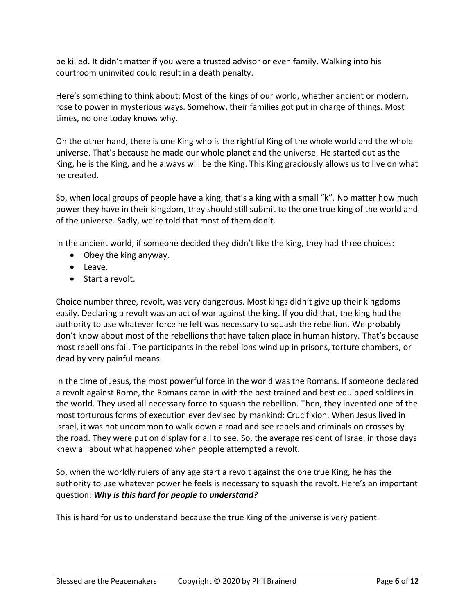be killed. It didn't matter if you were a trusted advisor or even family. Walking into his courtroom uninvited could result in a death penalty.

Here's something to think about: Most of the kings of our world, whether ancient or modern, rose to power in mysterious ways. Somehow, their families got put in charge of things. Most times, no one today knows why.

On the other hand, there is one King who is the rightful King of the whole world and the whole universe. That's because he made our whole planet and the universe. He started out as the King, he is the King, and he always will be the King. This King graciously allows us to live on what he created.

So, when local groups of people have a king, that's a king with a small "k". No matter how much power they have in their kingdom, they should still submit to the one true king of the world and of the universe. Sadly, we're told that most of them don't.

In the ancient world, if someone decided they didn't like the king, they had three choices:

- Obey the king anyway.
- Leave.
- Start a revolt.

Choice number three, revolt, was very dangerous. Most kings didn't give up their kingdoms easily. Declaring a revolt was an act of war against the king. If you did that, the king had the authority to use whatever force he felt was necessary to squash the rebellion. We probably don't know about most of the rebellions that have taken place in human history. That's because most rebellions fail. The participants in the rebellions wind up in prisons, torture chambers, or dead by very painful means.

In the time of Jesus, the most powerful force in the world was the Romans. If someone declared a revolt against Rome, the Romans came in with the best trained and best equipped soldiers in the world. They used all necessary force to squash the rebellion. Then, they invented one of the most torturous forms of execution ever devised by mankind: Crucifixion. When Jesus lived in Israel, it was not uncommon to walk down a road and see rebels and criminals on crosses by the road. They were put on display for all to see. So, the average resident of Israel in those days knew all about what happened when people attempted a revolt.

So, when the worldly rulers of any age start a revolt against the one true King, he has the authority to use whatever power he feels is necessary to squash the revolt. Here's an important question: *Why is this hard for people to understand?*

This is hard for us to understand because the true King of the universe is very patient.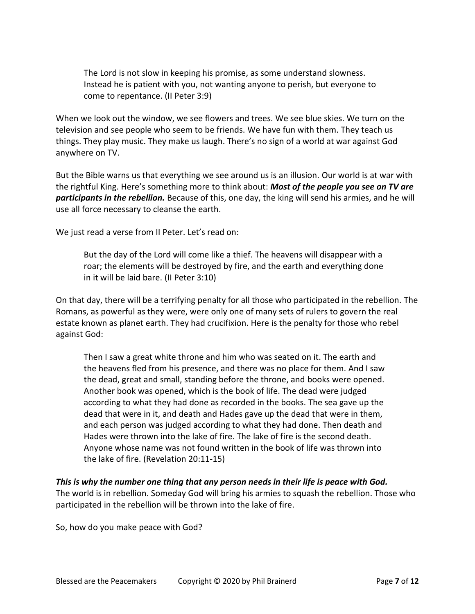The Lord is not slow in keeping his promise, as some understand slowness. Instead he is patient with you, not wanting anyone to perish, but everyone to come to repentance. (II Peter 3:9)

When we look out the window, we see flowers and trees. We see blue skies. We turn on the television and see people who seem to be friends. We have fun with them. They teach us things. They play music. They make us laugh. There's no sign of a world at war against God anywhere on TV.

But the Bible warns us that everything we see around us is an illusion. Our world is at war with the rightful King. Here's something more to think about: *Most of the people you see on TV are participants in the rebellion.* Because of this, one day, the king will send his armies, and he will use all force necessary to cleanse the earth.

We just read a verse from II Peter. Let's read on:

But the day of the Lord will come like a thief. The heavens will disappear with a roar; the elements will be destroyed by fire, and the earth and everything done in it will be laid bare. (II Peter 3:10)

On that day, there will be a terrifying penalty for all those who participated in the rebellion. The Romans, as powerful as they were, were only one of many sets of rulers to govern the real estate known as planet earth. They had crucifixion. Here is the penalty for those who rebel against God:

Then I saw a great white throne and him who was seated on it. The earth and the heavens fled from his presence, and there was no place for them. And I saw the dead, great and small, standing before the throne, and books were opened. Another book was opened, which is the book of life. The dead were judged according to what they had done as recorded in the books. The sea gave up the dead that were in it, and death and Hades gave up the dead that were in them, and each person was judged according to what they had done. Then death and Hades were thrown into the lake of fire. The lake of fire is the second death. Anyone whose name was not found written in the book of life was thrown into the lake of fire. (Revelation 20:11-15)

# *This is why the number one thing that any person needs in their life is peace with God.*

The world is in rebellion. Someday God will bring his armies to squash the rebellion. Those who participated in the rebellion will be thrown into the lake of fire.

So, how do you make peace with God?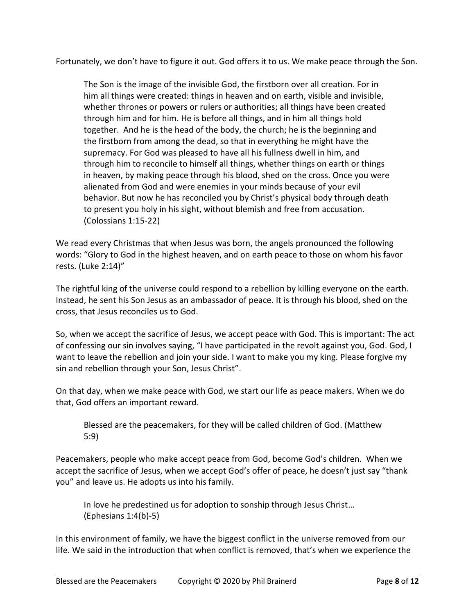Fortunately, we don't have to figure it out. God offers it to us. We make peace through the Son.

The Son is the image of the invisible God, the firstborn over all creation. For in him all things were created: things in heaven and on earth, visible and invisible, whether thrones or powers or rulers or authorities; all things have been created through him and for him. He is before all things, and in him all things hold together. And he is the head of the body, the church; he is the beginning and the firstborn from among the dead, so that in everything he might have the supremacy. For God was pleased to have all his fullness dwell in him, and through him to reconcile to himself all things, whether things on earth or things in heaven, by making peace through his blood, shed on the cross. Once you were alienated from God and were enemies in your minds because of your evil behavior. But now he has reconciled you by Christ's physical body through death to present you holy in his sight, without blemish and free from accusation. (Colossians 1:15-22)

We read every Christmas that when Jesus was born, the angels pronounced the following words: "Glory to God in the highest heaven, and on earth peace to those on whom his favor rests. (Luke 2:14)"

The rightful king of the universe could respond to a rebellion by killing everyone on the earth. Instead, he sent his Son Jesus as an ambassador of peace. It is through his blood, shed on the cross, that Jesus reconciles us to God.

So, when we accept the sacrifice of Jesus, we accept peace with God. This is important: The act of confessing our sin involves saying, "I have participated in the revolt against you, God. God, I want to leave the rebellion and join your side. I want to make you my king. Please forgive my sin and rebellion through your Son, Jesus Christ".

On that day, when we make peace with God, we start our life as peace makers. When we do that, God offers an important reward.

Blessed are the peacemakers, for they will be called children of God. (Matthew 5:9)

Peacemakers, people who make accept peace from God, become God's children. When we accept the sacrifice of Jesus, when we accept God's offer of peace, he doesn't just say "thank you" and leave us. He adopts us into his family.

In love he predestined us for adoption to sonship through Jesus Christ… (Ephesians 1:4(b)-5)

In this environment of family, we have the biggest conflict in the universe removed from our life. We said in the introduction that when conflict is removed, that's when we experience the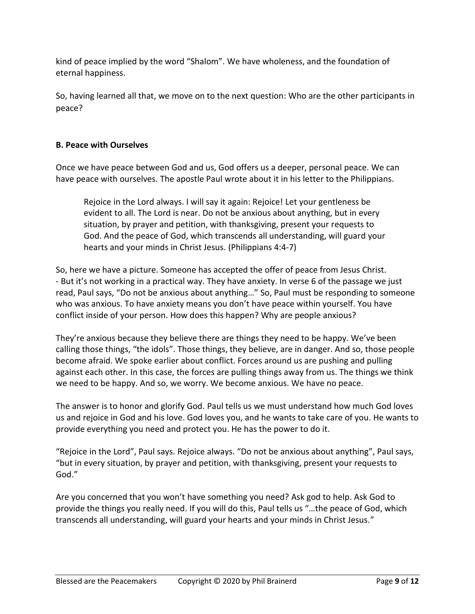kind of peace implied by the word "Shalom". We have wholeness, and the foundation of eternal happiness.

So, having learned all that, we move on to the next question: Who are the other participants in peace?

## **B. Peace with Ourselves**

Once we have peace between God and us, God offers us a deeper, personal peace. We can have peace with ourselves. The apostle Paul wrote about it in his letter to the Philippians.

Rejoice in the Lord always. I will say it again: Rejoice! Let your gentleness be evident to all. The Lord is near. Do not be anxious about anything, but in every situation, by prayer and petition, with thanksgiving, present your requests to God. And the peace of God, which transcends all understanding, will guard your hearts and your minds in Christ Jesus. (Philippians 4:4-7)

So, here we have a picture. Someone has accepted the offer of peace from Jesus Christ. - But it's not working in a practical way. They have anxiety. In verse 6 of the passage we just read, Paul says, "Do not be anxious about anything…" So, Paul must be responding to someone who was anxious. To have anxiety means you don't have peace within yourself. You have conflict inside of your person. How does this happen? Why are people anxious?

They're anxious because they believe there are things they need to be happy. We've been calling those things, "the idols". Those things, they believe, are in danger. And so, those people become afraid. We spoke earlier about conflict. Forces around us are pushing and pulling against each other. In this case, the forces are pulling things away from us. The things we think we need to be happy. And so, we worry. We become anxious. We have no peace.

The answer is to honor and glorify God. Paul tells us we must understand how much God loves us and rejoice in God and his love. God loves you, and he wants to take care of you. He wants to provide everything you need and protect you. He has the power to do it.

"Rejoice in the Lord", Paul says. Rejoice always. "Do not be anxious about anything", Paul says, "but in every situation, by prayer and petition, with thanksgiving, present your requests to God."

Are you concerned that you won't have something you need? Ask god to help. Ask God to provide the things you really need. If you will do this, Paul tells us "…the peace of God, which transcends all understanding, will guard your hearts and your minds in Christ Jesus."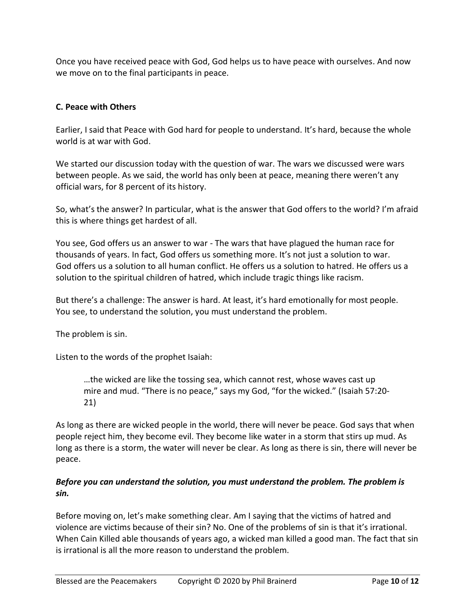Once you have received peace with God, God helps us to have peace with ourselves. And now we move on to the final participants in peace.

## **C. Peace with Others**

Earlier, I said that Peace with God hard for people to understand. It's hard, because the whole world is at war with God.

We started our discussion today with the question of war. The wars we discussed were wars between people. As we said, the world has only been at peace, meaning there weren't any official wars, for 8 percent of its history.

So, what's the answer? In particular, what is the answer that God offers to the world? I'm afraid this is where things get hardest of all.

You see, God offers us an answer to war - The wars that have plagued the human race for thousands of years. In fact, God offers us something more. It's not just a solution to war. God offers us a solution to all human conflict. He offers us a solution to hatred. He offers us a solution to the spiritual children of hatred, which include tragic things like racism.

But there's a challenge: The answer is hard. At least, it's hard emotionally for most people. You see, to understand the solution, you must understand the problem.

The problem is sin.

Listen to the words of the prophet Isaiah:

…the wicked are like the tossing sea, which cannot rest, whose waves cast up mire and mud. "There is no peace," says my God, "for the wicked." (Isaiah 57:20- 21)

As long as there are wicked people in the world, there will never be peace. God says that when people reject him, they become evil. They become like water in a storm that stirs up mud. As long as there is a storm, the water will never be clear. As long as there is sin, there will never be peace.

## *Before you can understand the solution, you must understand the problem. The problem is sin.*

Before moving on, let's make something clear. Am I saying that the victims of hatred and violence are victims because of their sin? No. One of the problems of sin is that it's irrational. When Cain Killed able thousands of years ago, a wicked man killed a good man. The fact that sin is irrational is all the more reason to understand the problem.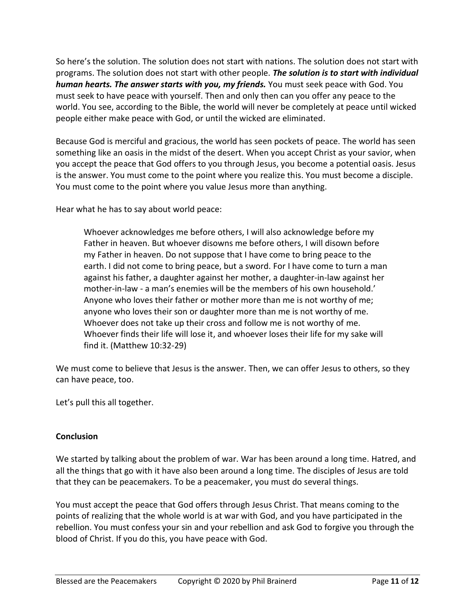So here's the solution. The solution does not start with nations. The solution does not start with programs. The solution does not start with other people. *The solution is to start with individual human hearts. The answer starts with you, my friends.* You must seek peace with God. You must seek to have peace with yourself. Then and only then can you offer any peace to the world. You see, according to the Bible, the world will never be completely at peace until wicked people either make peace with God, or until the wicked are eliminated.

Because God is merciful and gracious, the world has seen pockets of peace. The world has seen something like an oasis in the midst of the desert. When you accept Christ as your savior, when you accept the peace that God offers to you through Jesus, you become a potential oasis. Jesus is the answer. You must come to the point where you realize this. You must become a disciple. You must come to the point where you value Jesus more than anything.

Hear what he has to say about world peace:

Whoever acknowledges me before others, I will also acknowledge before my Father in heaven. But whoever disowns me before others, I will disown before my Father in heaven. Do not suppose that I have come to bring peace to the earth. I did not come to bring peace, but a sword. For I have come to turn a man against his father, a daughter against her mother, a daughter-in-law against her mother-in-law - a man's enemies will be the members of his own household.' Anyone who loves their father or mother more than me is not worthy of me; anyone who loves their son or daughter more than me is not worthy of me. Whoever does not take up their cross and follow me is not worthy of me. Whoever finds their life will lose it, and whoever loses their life for my sake will find it. (Matthew 10:32-29)

We must come to believe that Jesus is the answer. Then, we can offer Jesus to others, so they can have peace, too.

Let's pull this all together.

## **Conclusion**

We started by talking about the problem of war. War has been around a long time. Hatred, and all the things that go with it have also been around a long time. The disciples of Jesus are told that they can be peacemakers. To be a peacemaker, you must do several things.

You must accept the peace that God offers through Jesus Christ. That means coming to the points of realizing that the whole world is at war with God, and you have participated in the rebellion. You must confess your sin and your rebellion and ask God to forgive you through the blood of Christ. If you do this, you have peace with God.